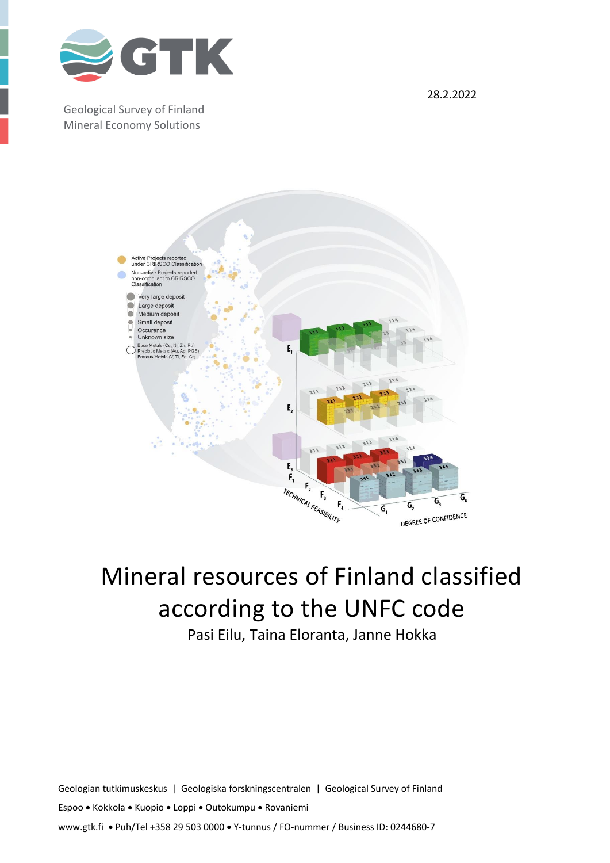

Geological Survey of Finland Mineral Economy Solutions

28.2.2022



# Mineral resources of Finland classified according to the UNFC code

Pasi Eilu, Taina Eloranta, Janne Hokka

Geologian tutkimuskeskus | Geologiska forskningscentralen | Geological Survey of Finland Espoo • Kokkola • Kuopio • Loppi • Outokumpu • Rovaniemi www.gtk.fi • Puh/Tel +358 29 503 0000 • Y-tunnus / FO-nummer / Business ID: 0244680-7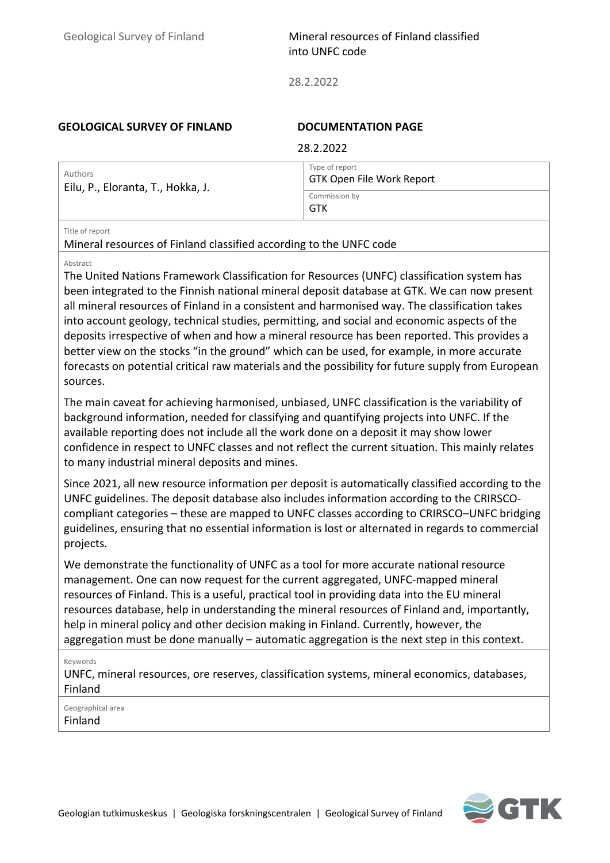28.2.2022

#### **GEOLOGICAL SURVEY OF FINLAND DOCUMENTATION PAGE**

| Type of report<br>Authors         | 28.2.2022                 |
|-----------------------------------|---------------------------|
| Eilu, P., Eloranta, T., Hokka, J. | GTK Open File Work Report |
| Commission by<br>GTK              |                           |

#### Title of report

Mineral resources of Finland classified according to the UNFC code

#### Abstract

The United Nations Framework Classification for Resources (UNFC) classification system has been integrated to the Finnish national mineral deposit database at GTK. We can now present all mineral resources of Finland in a consistent and harmonised way. The classification takes into account geology, technical studies, permitting, and social and economic aspects of the deposits irrespective of when and how a mineral resource has been reported. This provides a better view on the stocks "in the ground" which can be used, for example, in more accurate forecasts on potential critical raw materials and the possibility for future supply from European sources.

The main caveat for achieving harmonised, unbiased, UNFC classification is the variability of background information, needed for classifying and quantifying projects into UNFC. If the available reporting does not include all the work done on a deposit it may show lower confidence in respect to UNFC classes and not reflect the current situation. This mainly relates to many industrial mineral deposits and mines.

Since 2021, all new resource information per deposit is automatically classified according to the UNFC guidelines. The deposit database also includes information according to the CRIRSCOcompliant categories – these are mapped to UNFC classes according to CRIRSCO–UNFC bridging guidelines, ensuring that no essential information is lost or alternated in regards to commercial projects.

We demonstrate the functionality of UNFC as a tool for more accurate national resource management. One can now request for the current aggregated, UNFC-mapped mineral resources of Finland. This is a useful, practical tool in providing data into the EU mineral resources database, help in understanding the mineral resources of Finland and, importantly, help in mineral policy and other decision making in Finland. Currently, however, the aggregation must be done manually – automatic aggregation is the next step in this context.

Keywords

UNFC, mineral resources, ore reserves, classification systems, mineral economics, databases, Finland

Geographical area Finland

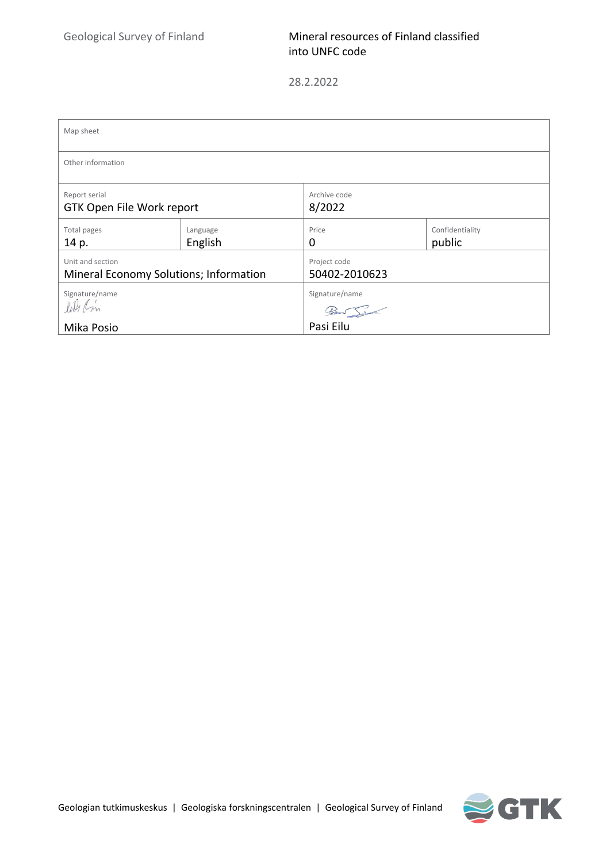| Map sheet                                                  |                     |                                         |  |  |  |  |  |
|------------------------------------------------------------|---------------------|-----------------------------------------|--|--|--|--|--|
| Other information                                          |                     |                                         |  |  |  |  |  |
| Report serial<br>GTK Open File Work report                 |                     | Archive code<br>8/2022                  |  |  |  |  |  |
| Total pages<br>14 p.                                       | Language<br>English | Confidentiality<br>Price<br>public<br>0 |  |  |  |  |  |
| Unit and section<br>Mineral Economy Solutions; Information |                     | Project code<br>50402-2010623           |  |  |  |  |  |
| Signature/name<br>lat Cm                                   |                     | Signature/name                          |  |  |  |  |  |
| Mika Posio                                                 |                     | $7 - 5$<br>Pasi Eilu                    |  |  |  |  |  |

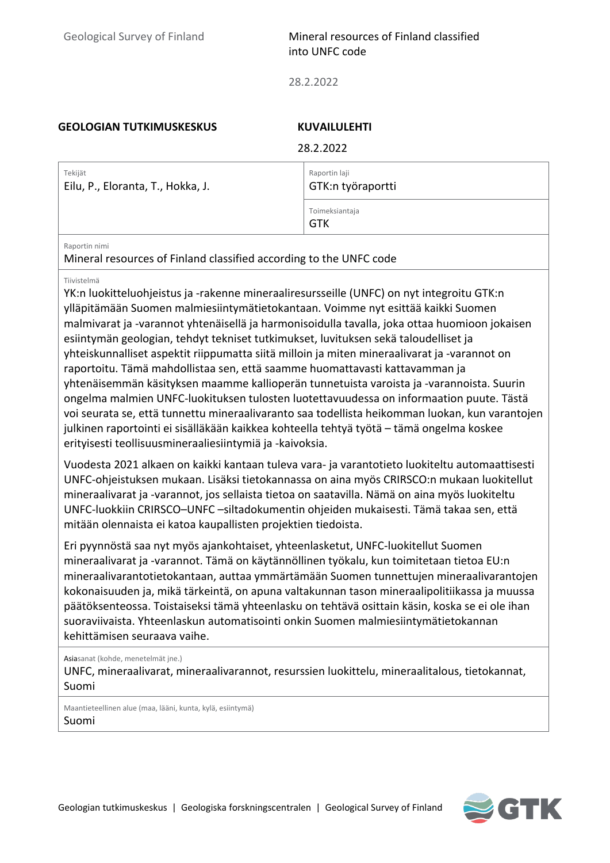28.2.2022

#### **GEOLOGIAN TUTKIMUSKESKUS KUVAILULEHTI**

28.2022

|                                              | ZO.Z.ZUZZ                          |
|----------------------------------------------|------------------------------------|
| Tekijät<br>Eilu, P., Eloranta, T., Hokka, J. | Raportin laji<br>GTK:n työraportti |
|                                              | Toimeksiantaja<br>GTK              |

#### Raportin nimi

Mineral resources of Finland classified according to the UNFC code

#### Tiivistelmä

YK:n luokitteluohjeistus ja -rakenne mineraaliresursseille (UNFC) on nyt integroitu GTK:n ylläpitämään Suomen malmiesiintymätietokantaan. Voimme nyt esittää kaikki Suomen malmivarat ja -varannot yhtenäisellä ja harmonisoidulla tavalla, joka ottaa huomioon jokaisen esiintymän geologian, tehdyt tekniset tutkimukset, luvituksen sekä taloudelliset ja yhteiskunnalliset aspektit riippumatta siitä milloin ja miten mineraalivarat ja -varannot on raportoitu. Tämä mahdollistaa sen, että saamme huomattavasti kattavamman ja yhtenäisemmän käsityksen maamme kallioperän tunnetuista varoista ja -varannoista. Suurin ongelma malmien UNFC-luokituksen tulosten luotettavuudessa on informaation puute. Tästä voi seurata se, että tunnettu mineraalivaranto saa todellista heikomman luokan, kun varantojen julkinen raportointi ei sisälläkään kaikkea kohteella tehtyä työtä – tämä ongelma koskee erityisesti teollisuusmineraaliesiintymiä ja -kaivoksia.

Vuodesta 2021 alkaen on kaikki kantaan tuleva vara- ja varantotieto luokiteltu automaattisesti UNFC-ohjeistuksen mukaan. Lisäksi tietokannassa on aina myös CRIRSCO:n mukaan luokitellut mineraalivarat ja -varannot, jos sellaista tietoa on saatavilla. Nämä on aina myös luokiteltu UNFC-luokkiin CRIRSCO–UNFC –siltadokumentin ohjeiden mukaisesti. Tämä takaa sen, että mitään olennaista ei katoa kaupallisten projektien tiedoista.

Eri pyynnöstä saa nyt myös ajankohtaiset, yhteenlasketut, UNFC-luokitellut Suomen mineraalivarat ja -varannot. Tämä on käytännöllinen työkalu, kun toimitetaan tietoa EU:n mineraalivarantotietokantaan, auttaa ymmärtämään Suomen tunnettujen mineraalivarantojen kokonaisuuden ja, mikä tärkeintä, on apuna valtakunnan tason mineraalipolitiikassa ja muussa päätöksenteossa. Toistaiseksi tämä yhteenlasku on tehtävä osittain käsin, koska se ei ole ihan suoraviivaista. Yhteenlaskun automatisointi onkin Suomen malmiesiintymätietokannan kehittämisen seuraava vaihe.

Asiasanat (kohde, menetelmät jne.)

UNFC, mineraalivarat, mineraalivarannot, resurssien luokittelu, mineraalitalous, tietokannat, Suomi

Maantieteellinen alue (maa, lääni, kunta, kylä, esiintymä) Suomi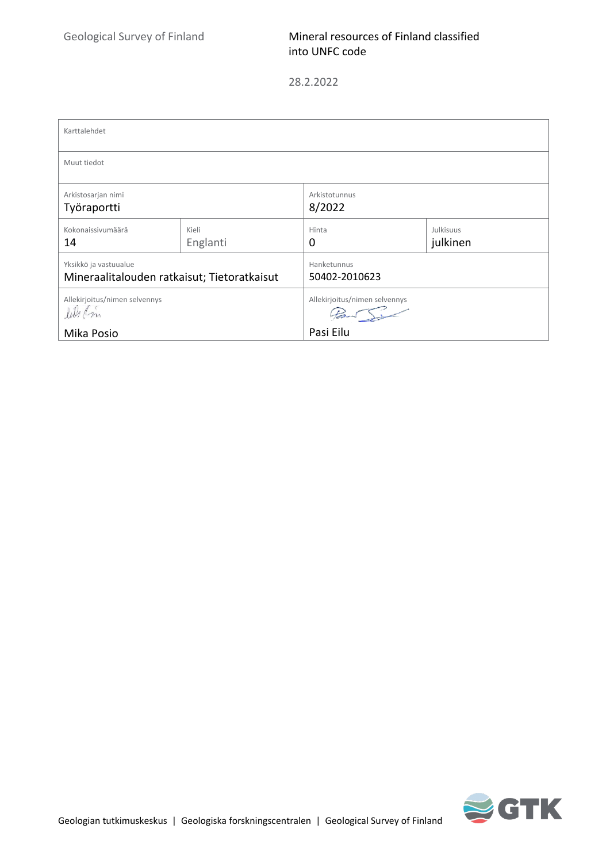| Karttalehdet                                                         |                   |                               |                       |  |  |  |  |  |
|----------------------------------------------------------------------|-------------------|-------------------------------|-----------------------|--|--|--|--|--|
| Muut tiedot                                                          |                   |                               |                       |  |  |  |  |  |
| Arkistosarjan nimi<br>Työraportti                                    |                   | Arkistotunnus<br>8/2022       |                       |  |  |  |  |  |
| Kokonaissivumäärä<br>14                                              | Kieli<br>Englanti | Hinta<br>0                    | Julkisuus<br>julkinen |  |  |  |  |  |
| Yksikkö ja vastuualue<br>Mineraalitalouden ratkaisut; Tietoratkaisut |                   | Hanketunnus<br>50402-2010623  |                       |  |  |  |  |  |
| Allekirjoitus/nimen selvennys<br>lil Cm                              |                   | Allekirjoitus/nimen selvennys |                       |  |  |  |  |  |
| Mika Posio                                                           |                   | Pasi Eilu                     |                       |  |  |  |  |  |

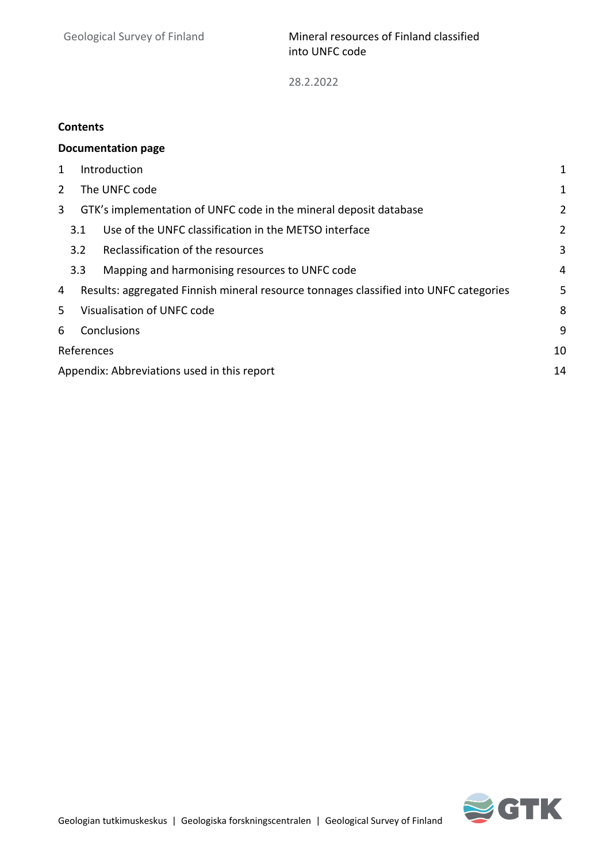### **Contents**

|                  |                                                                                            | <b>Documentation page</b>                                    |                |  |  |  |  |  |
|------------------|--------------------------------------------------------------------------------------------|--------------------------------------------------------------|----------------|--|--|--|--|--|
| 1                | Introduction<br>1                                                                          |                                                              |                |  |  |  |  |  |
| 2                | The UNFC code<br>1                                                                         |                                                              |                |  |  |  |  |  |
| 3                | GTK's implementation of UNFC code in the mineral deposit database<br>2                     |                                                              |                |  |  |  |  |  |
|                  |                                                                                            | Use of the UNFC classification in the METSO interface<br>3.1 | $\overline{2}$ |  |  |  |  |  |
|                  | Reclassification of the resources<br>3<br>3.2                                              |                                                              |                |  |  |  |  |  |
|                  |                                                                                            | 3.3<br>Mapping and harmonising resources to UNFC code<br>4   |                |  |  |  |  |  |
| 4                | Results: aggregated Finnish mineral resource tonnages classified into UNFC categories<br>5 |                                                              |                |  |  |  |  |  |
| 5                | Visualisation of UNFC code<br>8                                                            |                                                              |                |  |  |  |  |  |
| 6                | Conclusions<br>9                                                                           |                                                              |                |  |  |  |  |  |
| 10<br>References |                                                                                            |                                                              |                |  |  |  |  |  |
|                  | Appendix: Abbreviations used in this report<br>14                                          |                                                              |                |  |  |  |  |  |

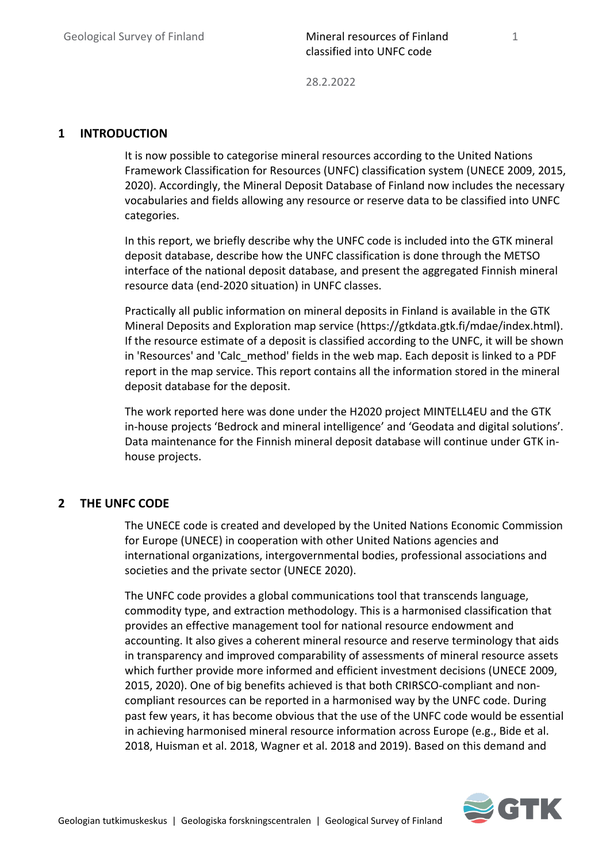28.2.2022

#### <span id="page-6-0"></span>**1 INTRODUCTION**

It is now possible to categorise mineral resources according to the United Nations Framework Classification for Resources (UNFC) classification system (UNECE 2009, 2015, 2020). Accordingly, the Mineral Deposit Database of Finland now includes the necessary vocabularies and fields allowing any resource or reserve data to be classified into UNFC categories.

In this report, we briefly describe why the UNFC code is included into the GTK mineral deposit database, describe how the UNFC classification is done through the METSO interface of the national deposit database, and present the aggregated Finnish mineral resource data (end-2020 situation) in UNFC classes.

Practically all public information on mineral deposits in Finland is available in the GTK Mineral Deposits and Exploration map service (https://gtkdata.gtk.fi/mdae/index.html). If the resource estimate of a deposit is classified according to the UNFC, it will be shown in 'Resources' and 'Calc\_method' fields in the web map. Each deposit is linked to a PDF report in the map service. This report contains all the information stored in the mineral deposit database for the deposit.

The work reported here was done under the H2020 project MINTELL4EU and the GTK in-house projects 'Bedrock and mineral intelligence' and 'Geodata and digital solutions'. Data maintenance for the Finnish mineral deposit database will continue under GTK inhouse projects.

#### <span id="page-6-1"></span>**2 THE UNFC CODE**

The UNECE code is created and developed by the United Nations Economic Commission for Europe (UNECE) in cooperation with other United Nations agencies and international organizations, intergovernmental bodies, professional associations and societies and the private sector (UNECE 2020).

The UNFC code provides a global communications tool that transcends language, commodity type, and extraction methodology. This is a harmonised classification that provides an effective management tool for national resource endowment and accounting. It also gives a coherent mineral resource and reserve terminology that aids in transparency and improved comparability of assessments of mineral resource assets which further provide more informed and efficient investment decisions (UNECE 2009, 2015, 2020). One of big benefits achieved is that both CRIRSCO-compliant and noncompliant resources can be reported in a harmonised way by the UNFC code. During past few years, it has become obvious that the use of the UNFC code would be essential in achieving harmonised mineral resource information across Europe (e.g., Bide et al. 2018, Huisman et al. 2018, Wagner et al. 2018 and 2019). Based on this demand and

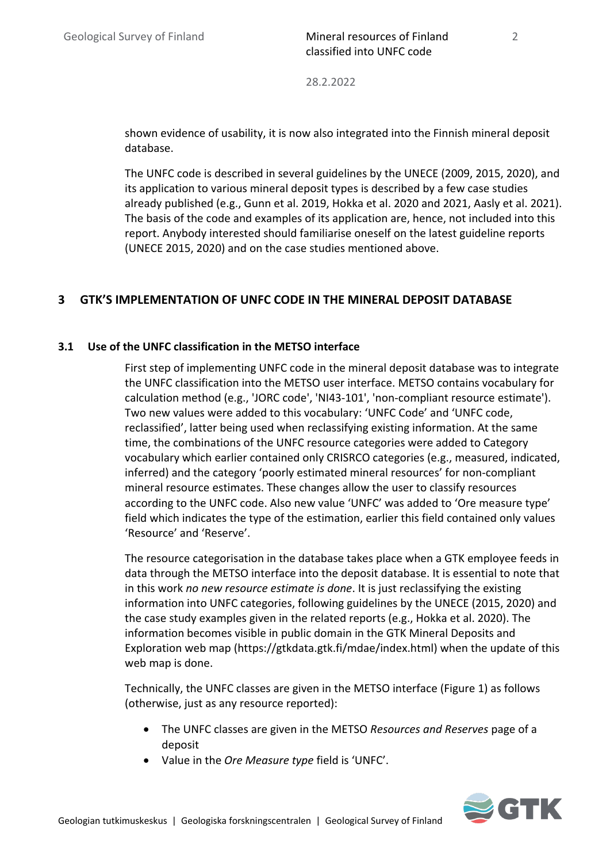shown evidence of usability, it is now also integrated into the Finnish mineral deposit database.

The UNFC code is described in several guidelines by the UNECE (2009, 2015, 2020), and its application to various mineral deposit types is described by a few case studies already published (e.g., Gunn et al. 2019, Hokka et al. 2020 and 2021, Aasly et al. 2021). The basis of the code and examples of its application are, hence, not included into this report. Anybody interested should familiarise oneself on the latest guideline reports (UNECE 2015, 2020) and on the case studies mentioned above.

# <span id="page-7-0"></span>**3 GTK'S IMPLEMENTATION OF UNFC CODE IN THE MINERAL DEPOSIT DATABASE**

### <span id="page-7-1"></span>**3.1 Use of the UNFC classification in the METSO interface**

First step of implementing UNFC code in the mineral deposit database was to integrate the UNFC classification into the METSO user interface. METSO contains vocabulary for calculation method (e.g., 'JORC code', 'NI43-101', 'non-compliant resource estimate'). Two new values were added to this vocabulary: 'UNFC Code' and 'UNFC code, reclassified', latter being used when reclassifying existing information. At the same time, the combinations of the UNFC resource categories were added to Category vocabulary which earlier contained only CRISRCO categories (e.g., measured, indicated, inferred) and the category 'poorly estimated mineral resources' for non-compliant mineral resource estimates. These changes allow the user to classify resources according to the UNFC code. Also new value 'UNFC' was added to 'Ore measure type' field which indicates the type of the estimation, earlier this field contained only values 'Resource' and 'Reserve'.

The resource categorisation in the database takes place when a GTK employee feeds in data through the METSO interface into the deposit database. It is essential to note that in this work *no new resource estimate is done*. It is just reclassifying the existing information into UNFC categories, following guidelines by the UNECE (2015, 2020) and the case study examples given in the related reports (e.g., Hokka et al. 2020). The information becomes visible in public domain in the GTK Mineral Deposits and Exploration web map (https://gtkdata.gtk.fi/mdae/index.html) when the update of this web map is done.

Technically, the UNFC classes are given in the METSO interface (Figure 1) as follows (otherwise, just as any resource reported):

- The UNFC classes are given in the METSO *Resources and Reserves* page of a deposit
- Value in the *Ore Measure type* field is 'UNFC'.

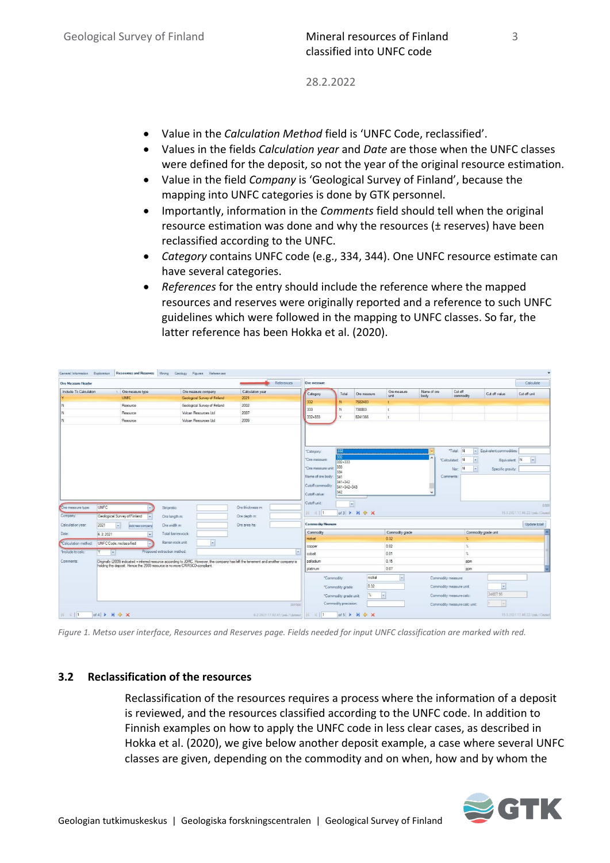- Value in the *Calculation Method* field is 'UNFC Code, reclassified'.
- Values in the fields *Calculation year* and *Date* are those when the UNFC classes were defined for the deposit, so not the year of the original resource estimation.
- Value in the field *Company* is 'Geological Survey of Finland', because the mapping into UNFC categories is done by GTK personnel.
- Importantly, information in the *Comments* field should tell when the original resource estimation was done and why the resources (± reserves) have been reclassified according to the UNFC.
- *Category* contains UNFC code (e.g., 334, 344). One UNFC resource estimate can have several categories.
- *References* for the entry should include the reference where the mapped resources and reserves were originally reported and a reference to such UNFC guidelines which were followed in the mapping to UNFC classes. So far, the latter reference has been Hokka et al. (2020).

|                                                                 |                                                                            |                                                                                                                                      | References       | Ore measure                                                                                    |                                                                      |               |                      |                     |                                                              |                                                                 | Calculate                                                   |
|-----------------------------------------------------------------|----------------------------------------------------------------------------|--------------------------------------------------------------------------------------------------------------------------------------|------------------|------------------------------------------------------------------------------------------------|----------------------------------------------------------------------|---------------|----------------------|---------------------|--------------------------------------------------------------|-----------------------------------------------------------------|-------------------------------------------------------------|
| Include To Calculation                                          | Ore measure type                                                           | Ore measure company                                                                                                                  | Calculation year | Category                                                                                       | Total                                                                | Ore measure   | Ore measure<br>unit. | Name of ore<br>body | Cut off<br>commodity                                         | Cut off value                                                   | Cut off unit                                                |
|                                                                 | <b>UNFC</b>                                                                | Geological Survey of Finland                                                                                                         | 2021             | 332                                                                                            | N                                                                    | 7502483       | ÷                    |                     |                                                              |                                                                 |                                                             |
| N                                                               | Resource                                                                   | Geological Survey of Finland                                                                                                         | 2002             | 333                                                                                            | N                                                                    | 738883        | $\mathbf{t}$         |                     |                                                              |                                                                 |                                                             |
| N                                                               | Resource                                                                   | Vulcan Resources Ltd                                                                                                                 | 2007             | 332+333                                                                                        | $\vee$                                                               | 8241366       | t.                   |                     |                                                              |                                                                 |                                                             |
| N                                                               | Resource                                                                   | Vulcan Resources Ltd.                                                                                                                | 2009             |                                                                                                |                                                                      |               |                      |                     |                                                              |                                                                 |                                                             |
|                                                                 |                                                                            |                                                                                                                                      |                  | *Category:<br>*Ore measure:<br>*Ore measure unit<br>Name of ore body: 341<br>Cutoff commodity: | 332<br>332<br>332+333<br>333<br>334<br>341+342<br>341+342+343<br>342 |               |                      |                     | "Total: N<br><b>N</b><br>*Calculated:<br>Nsr. N<br>Comments: | - Equivalent commodities:<br>Equivalent: N<br>Specific gravity. | $\overline{\phantom{0}}$                                    |
| UNFC                                                            |                                                                            | Stripratio:                                                                                                                          | Ore thickness m: | Cutoff value:<br>Cutoff unit:                                                                  | $\overline{\phantom{a}}$                                             |               |                      |                     |                                                              |                                                                 |                                                             |
|                                                                 | Geological Survey of Finland                                               | Ore length m:                                                                                                                        | Ore depth m:     | <b>N 4 11</b>                                                                                  |                                                                      | of3 ▶ W 令 X   |                      |                     |                                                              |                                                                 |                                                             |
| Ore measure type:<br>Company:<br>Calculation year:<br>2021      | $\vert \cdot \vert$<br>Add new company                                     | Ore width m:                                                                                                                         | Ore area ha:     | <b>Commodity Measure</b>                                                                       |                                                                      |               |                      |                     |                                                              |                                                                 | 0/500<br>15.3.2021 17.46.22 / pelu / Ceuted<br>Update total |
| 6.2.2021                                                        | $\left  \cdot \right $                                                     | Total barren rock:                                                                                                                   |                  | Commodity                                                                                      |                                                                      |               | Commodity grade      |                     |                                                              | Commodity grade unit                                            |                                                             |
|                                                                 |                                                                            | Barren rock unit:                                                                                                                    |                  | nickel                                                                                         |                                                                      |               | 0.32                 |                     |                                                              |                                                                 |                                                             |
|                                                                 | UNFC Code, reclassified                                                    | $\overline{\phantom{a}}$                                                                                                             |                  | copper                                                                                         |                                                                      |               | 0.02                 |                     | $\gamma_{\rm c}$                                             |                                                                 |                                                             |
| Ÿ                                                               | $\mathbf{v}$                                                               | Proposed extraction method:                                                                                                          | iv.              | cobalt                                                                                         |                                                                      |               | 0.01                 |                     | $\gamma_{\rm s}$                                             |                                                                 |                                                             |
|                                                                 |                                                                            | Originally (2009) indicated + inferred resource according to JORC. However, the company has left the tenement and another company is |                  | palladium                                                                                      |                                                                      |               | 0.15                 |                     | ppm                                                          |                                                                 |                                                             |
|                                                                 | holding the deposit. Hence the 2009 resource is no more CRIRSCO-compliant. |                                                                                                                                      |                  | platinum                                                                                       |                                                                      |               | 0.07                 |                     | ppm                                                          |                                                                 |                                                             |
|                                                                 |                                                                            |                                                                                                                                      |                  |                                                                                                | *Commodity:                                                          | nickel        | $\bullet$            | Commodity measure:  |                                                              |                                                                 |                                                             |
|                                                                 |                                                                            |                                                                                                                                      |                  |                                                                                                | "Commodity grade:                                                    | 0.32          |                      |                     | Commodity measure unit:                                      | $\overline{\phantom{a}}$                                        |                                                             |
| Date:<br>*Calculation method:<br>"Include to calc"<br>Comments: |                                                                            |                                                                                                                                      |                  |                                                                                                |                                                                      | $\frac{1}{2}$ | $\sim$               |                     |                                                              | 24007.95                                                        |                                                             |
|                                                                 |                                                                            |                                                                                                                                      | 207/500          |                                                                                                | *Commodity grade unit:<br>Commodity precision:                       |               |                      |                     | Commodity measure calc:<br>Commodity measure calc unit       |                                                                 |                                                             |

*Figure 1. Metso user interface, Resources and Reserves page. Fields needed for input UNFC classification are marked with red.*

#### <span id="page-8-0"></span>**3.2 Reclassification of the resources**

Reclassification of the resources requires a process where the information of a deposit is reviewed, and the resources classified according to the UNFC code. In addition to Finnish examples on how to apply the UNFC code in less clear cases, as described in Hokka et al. (2020), we give below another deposit example, a case where several UNFC classes are given, depending on the commodity and on when, how and by whom the

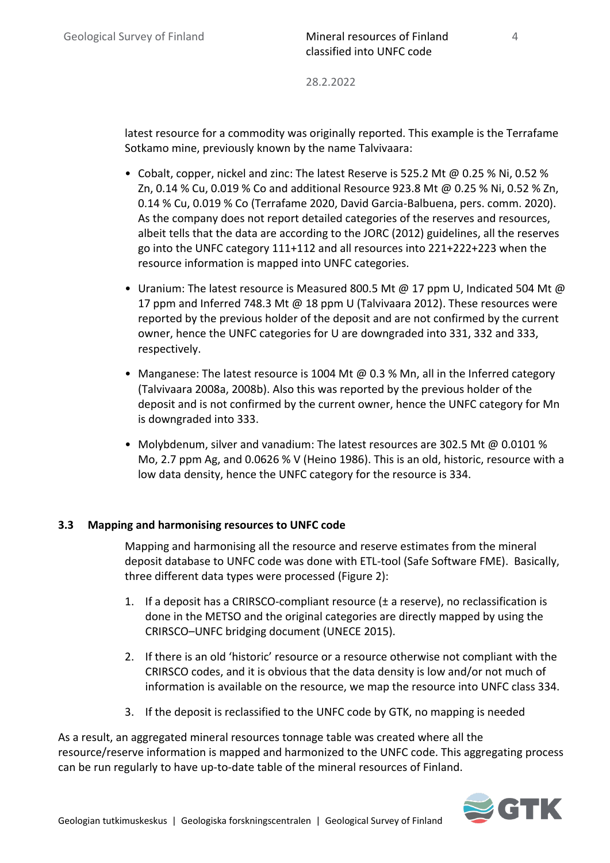latest resource for a commodity was originally reported. This example is the Terrafame Sotkamo mine, previously known by the name Talvivaara:

- Cobalt, copper, nickel and zinc: The latest Reserve is 525.2 Mt @ 0.25 % Ni, 0.52 % Zn, 0.14 % Cu, 0.019 % Co and additional Resource 923.8 Mt @ 0.25 % Ni, 0.52 % Zn, 0.14 % Cu, 0.019 % Co (Terrafame 2020, David Garcia-Balbuena, pers. comm. 2020). As the company does not report detailed categories of the reserves and resources, albeit tells that the data are according to the JORC (2012) guidelines, all the reserves go into the UNFC category 111+112 and all resources into 221+222+223 when the resource information is mapped into UNFC categories.
- Uranium: The latest resource is Measured 800.5 Mt  $\omega$  17 ppm U, Indicated 504 Mt  $\omega$ 17 ppm and Inferred 748.3 Mt @ 18 ppm U (Talvivaara 2012). These resources were reported by the previous holder of the deposit and are not confirmed by the current owner, hence the UNFC categories for U are downgraded into 331, 332 and 333, respectively.
- Manganese: The latest resource is 1004 Mt @ 0.3 % Mn, all in the Inferred category (Talvivaara 2008a, 2008b). Also this was reported by the previous holder of the deposit and is not confirmed by the current owner, hence the UNFC category for Mn is downgraded into 333.
- Molybdenum, silver and vanadium: The latest resources are 302.5 Mt @ 0.0101 % Mo, 2.7 ppm Ag, and 0.0626 % V (Heino 1986). This is an old, historic, resource with a low data density, hence the UNFC category for the resource is 334.

### <span id="page-9-0"></span>**3.3 Mapping and harmonising resources to UNFC code**

Mapping and harmonising all the resource and reserve estimates from the mineral deposit database to UNFC code was done with ETL-tool (Safe Software FME). Basically, three different data types were processed (Figure 2):

- 1. If a deposit has a CRIRSCO-compliant resource  $(\pm a$  reserve), no reclassification is done in the METSO and the original categories are directly mapped by using the CRIRSCO–UNFC bridging document (UNECE 2015).
- 2. If there is an old 'historic' resource or a resource otherwise not compliant with the CRIRSCO codes, and it is obvious that the data density is low and/or not much of information is available on the resource, we map the resource into UNFC class 334.
- 3. If the deposit is reclassified to the UNFC code by GTK, no mapping is needed

As a result, an aggregated mineral resources tonnage table was created where all the resource/reserve information is mapped and harmonized to the UNFC code. This aggregating process can be run regularly to have up-to-date table of the mineral resources of Finland.

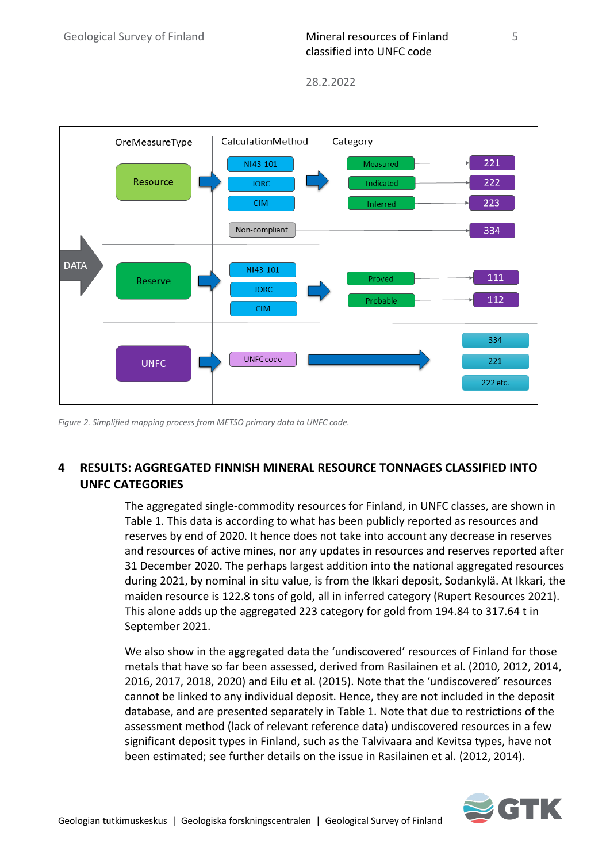

*Figure 2. Simplified mapping process from METSO primary data to UNFC code.*

# <span id="page-10-0"></span>**4 RESULTS: AGGREGATED FINNISH MINERAL RESOURCE TONNAGES CLASSIFIED INTO UNFC CATEGORIES**

The aggregated single-commodity resources for Finland, in UNFC classes, are shown in Table 1. This data is according to what has been publicly reported as resources and reserves by end of 2020. It hence does not take into account any decrease in reserves and resources of active mines, nor any updates in resources and reserves reported after 31 December 2020. The perhaps largest addition into the national aggregated resources during 2021, by nominal in situ value, is from the Ikkari deposit, Sodankylä. At Ikkari, the maiden resource is 122.8 tons of gold, all in inferred category (Rupert Resources 2021). This alone adds up the aggregated 223 category for gold from 194.84 to 317.64 t in September 2021.

We also show in the aggregated data the 'undiscovered' resources of Finland for those metals that have so far been assessed, derived from Rasilainen et al. (2010, 2012, 2014, 2016, 2017, 2018, 2020) and Eilu et al. (2015). Note that the 'undiscovered' resources cannot be linked to any individual deposit. Hence, they are not included in the deposit database, and are presented separately in Table 1. Note that due to restrictions of the assessment method (lack of relevant reference data) undiscovered resources in a few significant deposit types in Finland, such as the Talvivaara and Kevitsa types, have not been estimated; see further details on the issue in Rasilainen et al. (2012, 2014).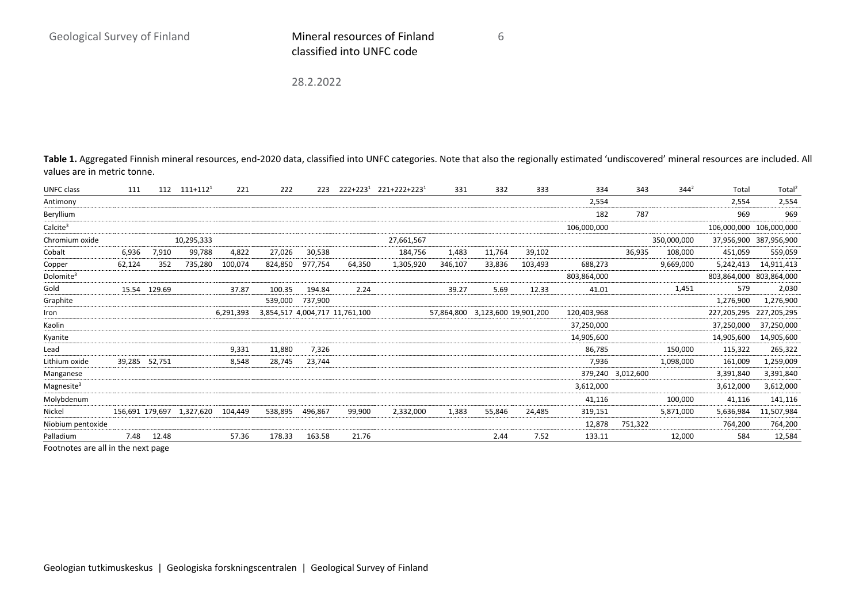28.2.2022

Table 1. Aggregated Finnish mineral resources, end-2020 data, classified into UNFC categories. Note that also the regionally estimated 'undiscovered' mineral resources are included. All values are in metric tonne.

6

| <b>UNFC class</b>      | 111             | 112           | $111+112^1$ | 221       | 222     | 223     |                                | $222+223^1$ $221+222+223^1$ | 331        | 332                  | 333     | 334         | 343               | $344^{2}$   | Total       | Total <sup>2</sup> |
|------------------------|-----------------|---------------|-------------|-----------|---------|---------|--------------------------------|-----------------------------|------------|----------------------|---------|-------------|-------------------|-------------|-------------|--------------------|
| Antimony               |                 |               |             |           |         |         |                                |                             |            |                      |         | 2,554       |                   |             | 2,554       | 2,554              |
| Beryllium              |                 |               |             |           |         |         |                                |                             |            |                      |         | 182         | 787               |             | 969         | 969                |
| Calculate <sup>3</sup> |                 |               |             |           |         |         |                                |                             |            |                      |         | 106,000,000 |                   |             | 106,000,000 | 106,000,000        |
| Chromium oxide         |                 |               | 10,295,333  |           |         |         |                                | 27,661,567                  |            |                      |         |             |                   | 350,000,000 | 37,956,900  | 387,956,900        |
| Cobalt                 | 6,936           | 7,910         | 99,788      | 4,822     | 27,026  | 30,538  |                                | 184,756                     | 1,483      | 11,764               | 39,102  |             | 36,935            | 108,000     | 451,059     | 559,059            |
| Copper                 | 62,124          | 352           | 735,280     | 100,074   | 824,850 | 977,754 | 64,350                         | 1,305,920                   | 346,107    | 33,836               | 103,493 | 688,273     |                   | 9,669,000   | 5,242,413   | 14,911,413         |
| Dolomite <sup>3</sup>  |                 |               |             |           |         |         |                                |                             |            |                      |         | 803,864,000 |                   |             | 803,864,000 | 803,864,000        |
| Gold                   |                 | 15.54 129.69  |             | 37.87     | 100.35  | 194.84  | 2.24                           |                             | 39.27      | 5.69                 | 12.33   | 41.01       |                   | 1,451       | 579         | 2,030              |
| Graphite               |                 |               |             |           | 539,000 | 737,900 |                                |                             |            |                      |         |             |                   |             | 1,276,900   | 1,276,900          |
| Iron                   |                 |               |             | 6,291,393 |         |         | 3,854,517 4,004,717 11,761,100 |                             | 57,864,800 | 3,123,600 19,901,200 |         | 120,403,968 |                   |             | 227,205,295 | 227,205,295        |
| Kaolin                 |                 |               |             |           |         |         |                                |                             |            |                      |         | 37,250,000  |                   |             | 37,250,000  | 37,250,000         |
| Kyanite                |                 |               |             |           |         |         |                                |                             |            |                      |         | 14,905,600  |                   |             | 14,905,600  | 14,905,600         |
| Lead                   |                 |               |             | 9,331     | 11,880  | 7,326   |                                |                             |            |                      |         | 86,785      |                   | 150,000     | 115,322     | 265,322            |
| Lithium oxide          |                 | 39,285 52,751 |             | 8,548     | 28,745  | 23,744  |                                |                             |            |                      |         | 7,936       |                   | 1,098,000   | 161,009     | 1,259,009          |
| Manganese              |                 |               |             |           |         |         |                                |                             |            |                      |         |             | 379,240 3,012,600 |             | 3,391,840   | 3,391,840          |
| Magnesite <sup>3</sup> |                 |               |             |           |         |         |                                |                             |            |                      |         | 3,612,000   |                   |             | 3,612,000   | 3,612,000          |
| Molybdenum             |                 |               |             |           |         |         |                                |                             |            |                      |         | 41,116      |                   | 100,000     | 41,116      | 141,116            |
| Nickel                 | 156,691 179,697 |               | 1,327,620   | 104,449   | 538,895 | 496,867 | 99,900                         | 2,332,000                   | 1,383      | 55,846               | 24,485  | 319,151     |                   | 5,871,000   | 5,636,984   | 11,507,984         |
| Niobium pentoxide      |                 |               |             |           |         |         |                                |                             |            |                      |         | 12,878      | 751,322           |             | 764,200     | 764,200            |
| Palladium              | 7.48            | 12.48         |             | 57.36     | 178.33  | 163.58  | 21.76                          |                             |            | 2.44                 | 7.52    | 133.11      |                   | 12,000      | 584         | 12,584             |

Footnotes are all in the next page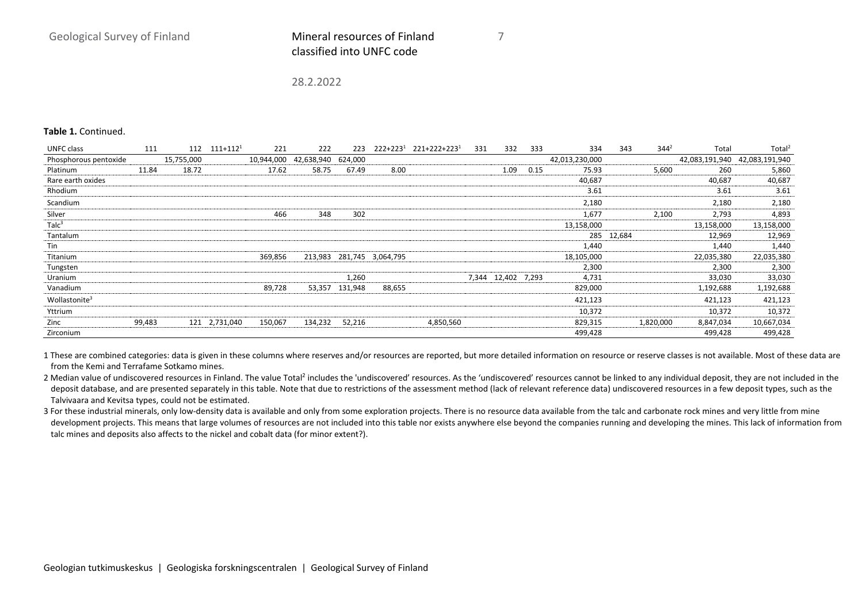7

28.2.2022

#### **Table 1.** Continued.

| UNFC class                | 111    | 112        | $111+112^1$   | 221        | 222        | 223     | $222+223^1$               | 221+222+2231 | 331 | 332                | 333  | 334            | 343        | $344^{2}$ | Total          | Total <sup>2</sup> |
|---------------------------|--------|------------|---------------|------------|------------|---------|---------------------------|--------------|-----|--------------------|------|----------------|------------|-----------|----------------|--------------------|
| Phosphorous pentoxide     |        | 15,755,000 |               | 10,944,000 | 42,638,940 | 624.000 |                           |              |     |                    |      | 42,013,230,000 |            |           | 42,083,191,940 | 42,083,191,940     |
| Platinum                  | 11.84  | 18.72      |               | 17.62      | 58.75      | 67.49   | 8.00                      |              |     | 1.09               | 0.15 | 75.93          |            | 5,600     | 260            | 5,860              |
| Rare earth oxides         |        |            |               |            |            |         |                           |              |     |                    |      | 40,687         |            |           | 40,687         | 40,687             |
| Rhodium                   |        |            |               |            |            |         |                           |              |     |                    |      | 3.61           |            |           | 3.61           | 3.61               |
| Scandium                  |        |            |               |            |            |         |                           |              |     |                    |      | 2,180          |            |           | 2,180          | 2,180              |
| Silver                    |        |            |               | 466        | 348        | 302     |                           |              |     |                    |      | 1,677          |            | 2,100     | 2,793          | 4,893              |
| Talc <sup>3</sup>         |        |            |               |            |            |         |                           |              |     |                    |      | 13,158,000     |            |           | 13,158,000     | 13,158,000         |
| Tantalum                  |        |            |               |            |            |         |                           |              |     |                    |      |                | 285 12,684 |           | 12,969         | 12,969             |
| Tin                       |        |            |               |            |            |         |                           |              |     |                    |      | 1.440          |            |           | 1,440          | 1,440              |
| Titanium                  |        |            |               | 369,856    |            |         | 213,983 281,745 3,064,795 |              |     |                    |      | 18,105,000     |            |           | 22,035,380     | 22,035,380         |
| Tungsten                  |        |            |               |            |            |         |                           |              |     |                    |      | 2,300          |            |           | 2,300          | 2,300              |
| Uranium                   |        |            |               |            |            | 1,260   |                           |              |     | 7,344 12,402 7,293 |      | 4,731          |            |           | 33,030         | 33,030             |
| Vanadium                  |        |            |               | 89,728     | 53,357     | 131,948 | 88,655                    |              |     |                    |      | 829,000        |            |           | 1,192,688      | 1,192,688          |
| Wollastonite <sup>3</sup> |        |            |               |            |            |         |                           |              |     |                    |      | 421,123        |            |           | 421,123        | 421,123            |
| Yttrium                   |        |            |               |            |            |         |                           |              |     |                    |      | 10,372         |            |           | 10,372         | 10,372             |
| Zinc                      | 99,483 |            | 121 2,731,040 | 150,067    | 134,232    | 52,216  |                           | 4,850,560    |     |                    |      | 829,315        |            | 1,820,000 | 8,847,034      | 10,667,034         |
| Zirconium                 |        |            |               |            |            |         |                           |              |     |                    |      | 499,428        |            |           | 499,428        | 499,428            |

1 These are combined categories: data is given in these columns where reserves and/or resources are reported, but more detailed information on resource or reserve classes is not available. Most of these data are from the Kemi and Terrafame Sotkamo mines.

2 Median value of undiscovered resources in Finland. The value Total<sup>2</sup> includes the 'undiscovered' resources. As the 'undiscovered' resources cannot be linked to any individual deposit, they are not included in the deposit database, and are presented separately in this table. Note that due to restrictions of the assessment method (lack of relevant reference data) undiscovered resources in a few deposit types, such as the Talvivaara and Kevitsa types, could not be estimated.

3 For these industrial minerals, only low-density data is available and only from some exploration projects. There is no resource data available from the talc and carbonate rock mines and very little from mine development projects. This means that large volumes of resources are not included into this table nor exists anywhere else beyond the companies running and developing the mines. This lack of information from talc mines and deposits also affects to the nickel and cobalt data (for minor extent?).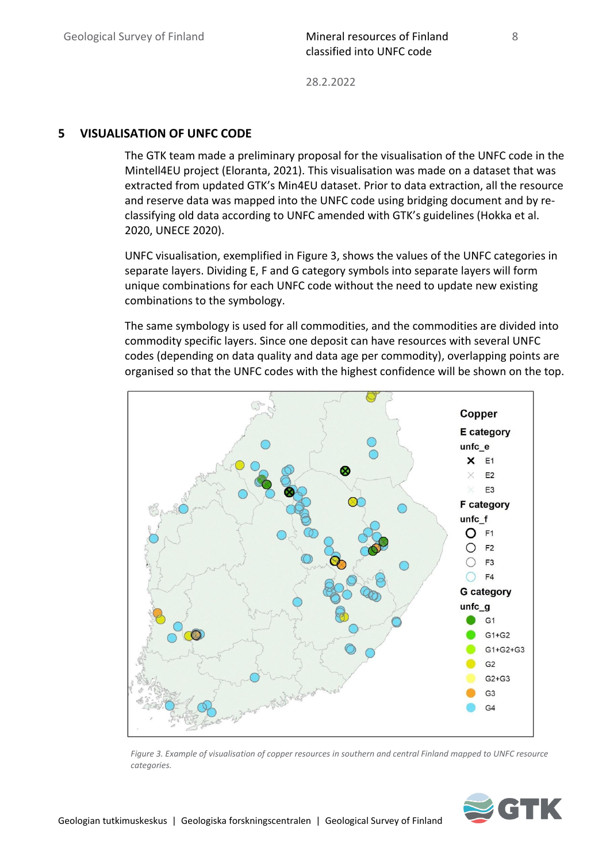28.2.2022

#### <span id="page-13-0"></span>**5 VISUALISATION OF UNFC CODE**

The GTK team made a preliminary proposal for the visualisation of the UNFC code in the Mintell4EU project (Eloranta, 2021). This visualisation was made on a dataset that was extracted from updated GTK's Min4EU dataset. Prior to data extraction, all the resource and reserve data was mapped into the UNFC code using bridging document and by reclassifying old data according to UNFC amended with GTK's guidelines (Hokka et al. 2020, UNECE 2020).

UNFC visualisation, exemplified in Figure 3, shows the values of the UNFC categories in separate layers. Dividing E, F and G category symbols into separate layers will form unique combinations for each UNFC code without the need to update new existing combinations to the symbology.

The same symbology is used for all commodities, and the commodities are divided into commodity specific layers. Since one deposit can have resources with several UNFC codes (depending on data quality and data age per commodity), overlapping points are organised so that the UNFC codes with the highest confidence will be shown on the top.



*Figure 3. Example of visualisation of copper resources in southern and central Finland mapped to UNFC resource categories.*



8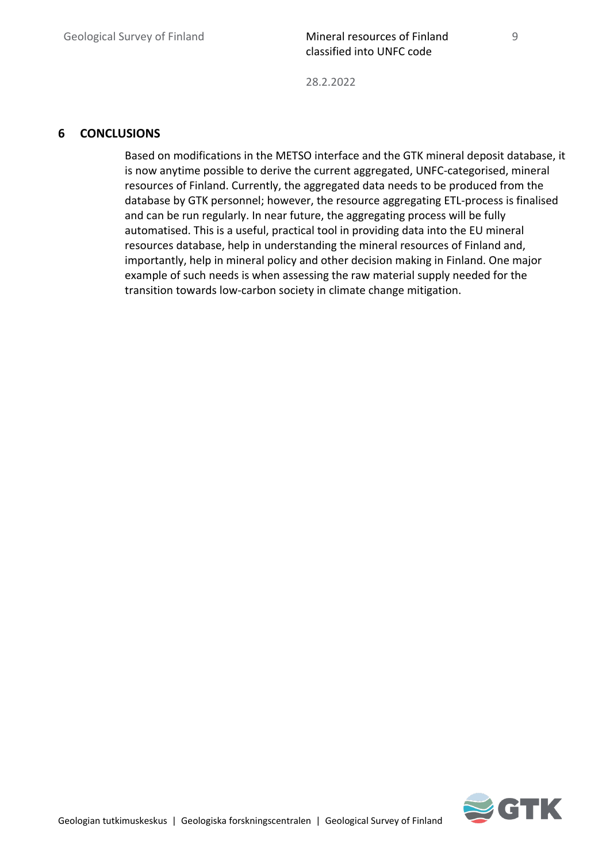### <span id="page-14-0"></span>**6 CONCLUSIONS**

Based on modifications in the METSO interface and the GTK mineral deposit database, it is now anytime possible to derive the current aggregated, UNFC-categorised, mineral resources of Finland. Currently, the aggregated data needs to be produced from the database by GTK personnel; however, the resource aggregating ETL-process is finalised and can be run regularly. In near future, the aggregating process will be fully automatised. This is a useful, practical tool in providing data into the EU mineral resources database, help in understanding the mineral resources of Finland and, importantly, help in mineral policy and other decision making in Finland. One major example of such needs is when assessing the raw material supply needed for the transition towards low-carbon society in climate change mitigation.



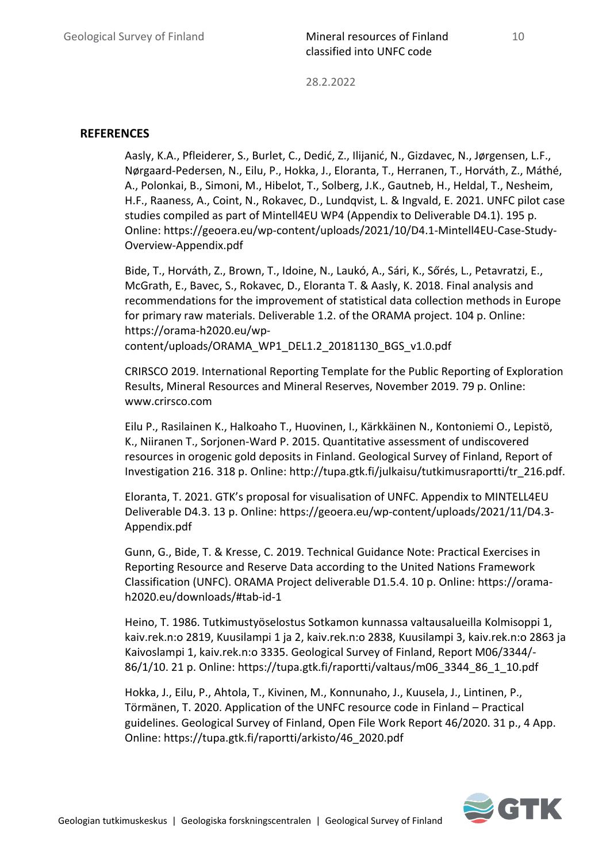#### <span id="page-15-0"></span>**REFERENCES**

Aasly, K.A., Pfleiderer, S., Burlet, C., Dedić, Z., Ilijanić, N., Gizdavec, N., Jørgensen, L.F., Nørgaard-Pedersen, N., Eilu, P., Hokka, J., Eloranta, T., Herranen, T., Horváth, Z., Máthé, A., Polonkai, B., Simoni, M., Hibelot, T., Solberg, J.K., Gautneb, H., Heldal, T., Nesheim, H.F., Raaness, A., Coint, N., Rokavec, D., Lundqvist, L. & Ingvald, E. 2021. UNFC pilot case studies compiled as part of Mintell4EU WP4 (Appendix to Deliverable D4.1). 195 p. Online: https://geoera.eu/wp-content/uploads/2021/10/D4.1-Mintell4EU-Case-Study-Overview-Appendix.pdf

Bide, T., Horváth, Z., Brown, T., Idoine, N., Laukó, A., Sári, K., Sőrés, L., Petavratzi, E., McGrath, E., Bavec, S., Rokavec, D., Eloranta T. & Aasly, K. 2018. Final analysis and recommendations for the improvement of statistical data collection methods in Europe for primary raw materials. Deliverable 1.2. of the ORAMA project. 104 p. Online: https://orama-h2020.eu/wpcontent/uploads/ORAMA\_WP1\_DEL1.2\_20181130\_BGS\_v1.0.pdf

CRIRSCO 2019. International Reporting Template for the Public Reporting of Exploration Results, Mineral Resources and Mineral Reserves, November 2019. 79 p. Online: www.crirsco.com

Eilu P., Rasilainen K., Halkoaho T., Huovinen, I., Kärkkäinen N., Kontoniemi O., Lepistö, K., Niiranen T., Sorjonen-Ward P. 2015. Quantitative assessment of undiscovered resources in orogenic gold deposits in Finland. Geological Survey of Finland, Report of Investigation 216. 318 p. Online: http://tupa.gtk.fi/julkaisu/tutkimusraportti/tr\_216.pdf.

Eloranta, T. 2021. GTK's proposal for visualisation of UNFC. Appendix to MINTELL4EU Deliverable D4.3. 13 p. Online: https://geoera.eu/wp-content/uploads/2021/11/D4.3- Appendix.pdf

Gunn, G., Bide, T. & Kresse, C. 2019. Technical Guidance Note: Practical Exercises in Reporting Resource and Reserve Data according to the United Nations Framework Classification (UNFC). ORAMA Project deliverable D1.5.4. 10 p. Online: https://oramah2020.eu/downloads/#tab-id-1

Heino, T. 1986. Tutkimustyöselostus Sotkamon kunnassa valtausalueilla Kolmisoppi 1, kaiv.rek.n:o 2819, Kuusilampi 1 ja 2, kaiv.rek.n:o 2838, Kuusilampi 3, kaiv.rek.n:o 2863 ja Kaivoslampi 1, kaiv.rek.n:o 3335. Geological Survey of Finland, Report M06/3344/- 86/1/10. 21 p. Online: https://tupa.gtk.fi/raportti/valtaus/m06\_3344\_86\_1\_10.pdf

Hokka, J., Eilu, P., Ahtola, T., Kivinen, M., Konnunaho, J., Kuusela, J., Lintinen, P., Törmänen, T. 2020. Application of the UNFC resource code in Finland – Practical guidelines. Geological Survey of Finland, Open File Work Report 46/2020. 31 p., 4 App. Online: https://tupa.gtk.fi/raportti/arkisto/46\_2020.pdf

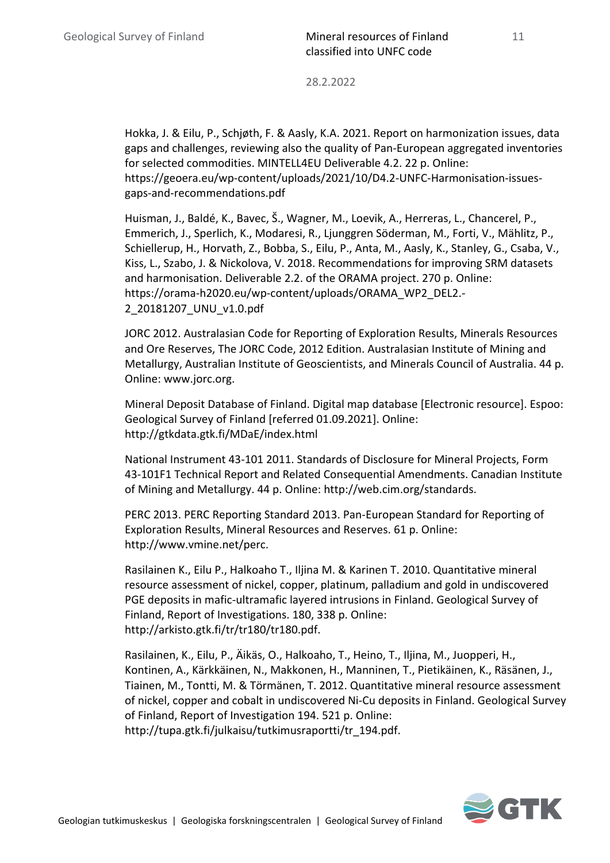Hokka, J. & Eilu, P., Schjøth, F. & Aasly, K.A. 2021. Report on harmonization issues, data gaps and challenges, reviewing also the quality of Pan-European aggregated inventories for selected commodities. MINTELL4EU Deliverable 4.2. 22 p. Online: https://geoera.eu/wp-content/uploads/2021/10/D4.2-UNFC-Harmonisation-issuesgaps-and-recommendations.pdf

Huisman, J., Baldé, K., Bavec, Š., Wagner, M., Loevik, A., Herreras, L., Chancerel, P., Emmerich, J., Sperlich, K., Modaresi, R., Ljunggren Söderman, M., Forti, V., Mählitz, P., Schiellerup, H., Horvath, Z., Bobba, S., Eilu, P., Anta, M., Aasly, K., Stanley, G., Csaba, V., Kiss, L., Szabo, J. & Nickolova, V. 2018. Recommendations for improving SRM datasets and harmonisation. Deliverable 2.2. of the ORAMA project. 270 p. Online: https://orama-h2020.eu/wp-content/uploads/ORAMA\_WP2\_DEL2.- 2\_20181207\_UNU\_v1.0.pdf

JORC 2012. Australasian Code for Reporting of Exploration Results, Minerals Resources and Ore Reserves, The JORC Code, 2012 Edition. Australasian Institute of Mining and Metallurgy, Australian Institute of Geoscientists, and Minerals Council of Australia. 44 p. Online: www.jorc.org.

Mineral Deposit Database of Finland. Digital map database [Electronic resource]. Espoo: Geological Survey of Finland [referred 01.09.2021]. Online: http://gtkdata.gtk.fi/MDaE/index.html

National Instrument 43-101 2011. Standards of Disclosure for Mineral Projects, Form 43-101F1 Technical Report and Related Consequential Amendments. Canadian Institute of Mining and Metallurgy. 44 p. Online: http://web.cim.org/standards.

PERC 2013. PERC Reporting Standard 2013. Pan-European Standard for Reporting of Exploration Results, Mineral Resources and Reserves. 61 p. Online: http://www.vmine.net/perc.

Rasilainen K., Eilu P., Halkoaho T., Iljina M. & Karinen T. 2010. Quantitative mineral resource assessment of nickel, copper, platinum, palladium and gold in undiscovered PGE deposits in mafic-ultramafic layered intrusions in Finland. Geological Survey of Finland, Report of Investigations. 180, 338 p. Online: http://arkisto.gtk.fi/tr/tr180/tr180.pdf.

Rasilainen, K., Eilu, P., Äikäs, O., Halkoaho, T., Heino, T., Iljina, M., Juopperi, H., Kontinen, A., Kärkkäinen, N., Makkonen, H., Manninen, T., Pietikäinen, K., Räsänen, J., Tiainen, M., Tontti, M. & Törmänen, T. 2012. Quantitative mineral resource assessment of nickel, copper and cobalt in undiscovered Ni-Cu deposits in Finland. Geological Survey of Finland, Report of Investigation 194. 521 p. Online: http://tupa.gtk.fi/julkaisu/tutkimusraportti/tr\_194.pdf.

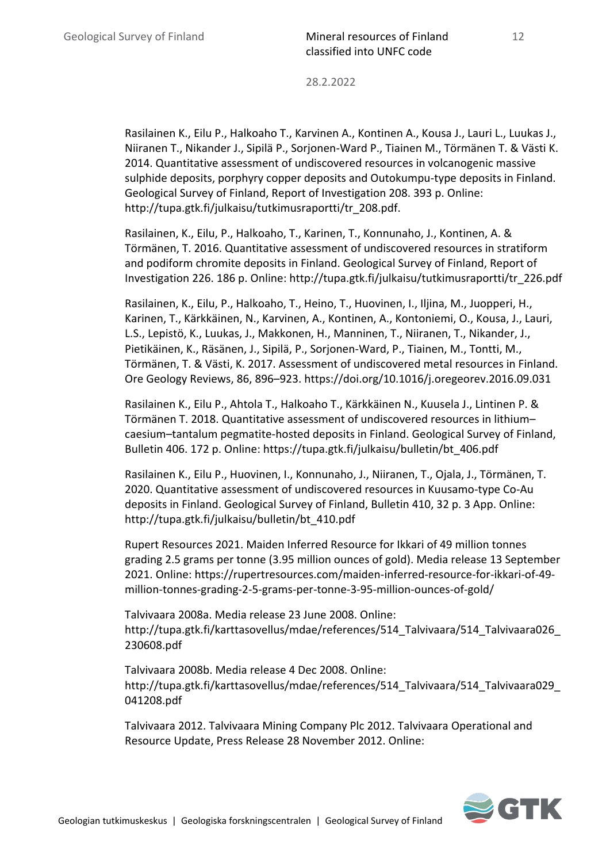Rasilainen K., Eilu P., Halkoaho T., Karvinen A., Kontinen A., Kousa J., Lauri L., Luukas J., Niiranen T., Nikander J., Sipilä P., Sorjonen-Ward P., Tiainen M., Törmänen T. & Västi K. 2014. Quantitative assessment of undiscovered resources in volcanogenic massive sulphide deposits, porphyry copper deposits and Outokumpu-type deposits in Finland. Geological Survey of Finland, Report of Investigation 208. 393 p. Online: http://tupa.gtk.fi/julkaisu/tutkimusraportti/tr\_208.pdf.

Rasilainen, K., Eilu, P., Halkoaho, T., Karinen, T., Konnunaho, J., Kontinen, A. & Törmänen, T. 2016. Quantitative assessment of undiscovered resources in stratiform and podiform chromite deposits in Finland. Geological Survey of Finland, Report of Investigation 226. 186 p. Online: http://tupa.gtk.fi/julkaisu/tutkimusraportti/tr\_226.pdf

Rasilainen, K., Eilu, P., Halkoaho, T., Heino, T., Huovinen, I., Iljina, M., Juopperi, H., Karinen, T., Kärkkäinen, N., Karvinen, A., Kontinen, A., Kontoniemi, O., Kousa, J., Lauri, L.S., Lepistö, K., Luukas, J., Makkonen, H., Manninen, T., Niiranen, T., Nikander, J., Pietikäinen, K., Räsänen, J., Sipilä, P., Sorjonen-Ward, P., Tiainen, M., Tontti, M., Törmänen, T. & Västi, K. 2017. Assessment of undiscovered metal resources in Finland. Ore Geology Reviews, 86, 896–923. https://doi.org/10.1016/j.oregeorev.2016.09.031

Rasilainen K., Eilu P., Ahtola T., Halkoaho T., Kärkkäinen N., Kuusela J., Lintinen P. & Törmänen T. 2018. Quantitative assessment of undiscovered resources in lithium– caesium–tantalum pegmatite-hosted deposits in Finland. Geological Survey of Finland, Bulletin 406. 172 p. Online: https://tupa.gtk.fi/julkaisu/bulletin/bt\_406.pdf

Rasilainen K., Eilu P., Huovinen, I., Konnunaho, J., Niiranen, T., Ojala, J., Törmänen, T. 2020. Quantitative assessment of undiscovered resources in Kuusamo-type Co-Au deposits in Finland. Geological Survey of Finland, Bulletin 410, 32 p. 3 App. Online: http://tupa.gtk.fi/julkaisu/bulletin/bt\_410.pdf

Rupert Resources 2021. Maiden Inferred Resource for Ikkari of 49 million tonnes grading 2.5 grams per tonne (3.95 million ounces of gold). Media release 13 September 2021. Online: https://rupertresources.com/maiden-inferred-resource-for-ikkari-of-49 million-tonnes-grading-2-5-grams-per-tonne-3-95-million-ounces-of-gold/

Talvivaara 2008a. Media release 23 June 2008. Online: http://tupa.gtk.fi/karttasovellus/mdae/references/514\_Talvivaara/514\_Talvivaara026\_ 230608.pdf

Talvivaara 2008b. Media release 4 Dec 2008. Online: http://tupa.gtk.fi/karttasovellus/mdae/references/514\_Talvivaara/514\_Talvivaara029\_ 041208.pdf

Talvivaara 2012. Talvivaara Mining Company Plc 2012. Talvivaara Operational and Resource Update, Press Release 28 November 2012. Online:

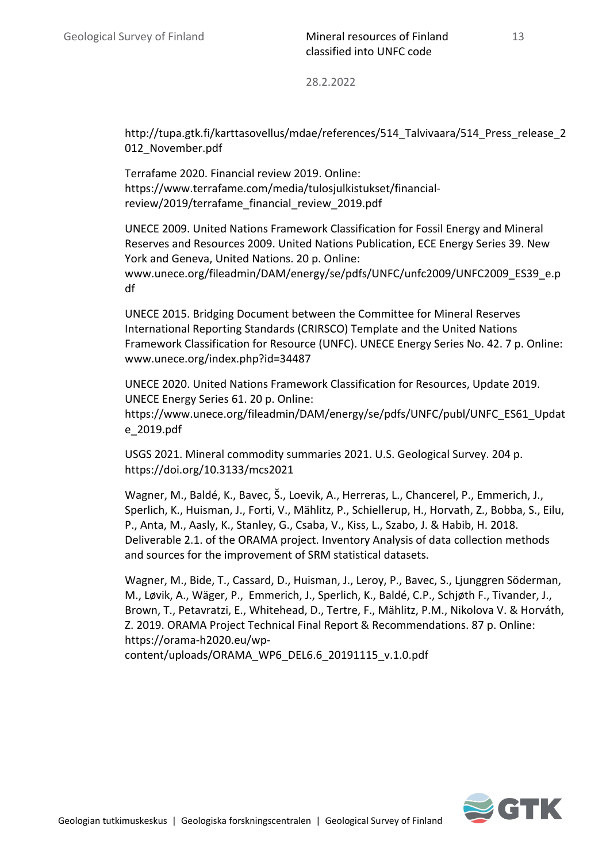http://tupa.gtk.fi/karttasovellus/mdae/references/514\_Talvivaara/514\_Press\_release\_2 012 November.pdf

Terrafame 2020. Financial review 2019. Online: https://www.terrafame.com/media/tulosjulkistukset/financialreview/2019/terrafame\_financial\_review\_2019.pdf

UNECE 2009. United Nations Framework Classification for Fossil Energy and Mineral Reserves and Resources 2009. United Nations Publication, ECE Energy Series 39. New York and Geneva, United Nations. 20 p. Online: www.unece.org/fileadmin/DAM/energy/se/pdfs/UNFC/unfc2009/UNFC2009\_ES39\_e.p df

UNECE 2015. Bridging Document between the Committee for Mineral Reserves International Reporting Standards (CRIRSCO) Template and the United Nations Framework Classification for Resource (UNFC). UNECE Energy Series No. 42. 7 p. Online: www.unece.org/index.php?id=34487

UNECE 2020. United Nations Framework Classification for Resources, Update 2019. UNECE Energy Series 61. 20 p. Online: https://www.unece.org/fileadmin/DAM/energy/se/pdfs/UNFC/publ/UNFC\_ES61\_Updat e\_2019.pdf

USGS 2021. Mineral commodity summaries 2021. U.S. Geological Survey. 204 p. https://doi.org/10.3133/mcs2021

Wagner, M., Baldé, K., Bavec, Š., Loevik, A., Herreras, L., Chancerel, P., Emmerich, J., Sperlich, K., Huisman, J., Forti, V., Mählitz, P., Schiellerup, H., Horvath, Z., Bobba, S., Eilu, P., Anta, M., Aasly, K., Stanley, G., Csaba, V., Kiss, L., Szabo, J. & Habib, H. 2018. Deliverable 2.1. of the ORAMA project. Inventory Analysis of data collection methods and sources for the improvement of SRM statistical datasets.

Wagner, M., Bide, T., Cassard, D., Huisman, J., Leroy, P., Bavec, S., Ljunggren Söderman, M., Løvik, A., Wäger, P., Emmerich, J., Sperlich, K., Baldé, C.P., Schjøth F., Tivander, J., Brown, T., Petavratzi, E., Whitehead, D., Tertre, F., Mählitz, P.M., Nikolova V. & Horváth, Z. 2019. ORAMA Project Technical Final Report & Recommendations. 87 p. Online: https://orama-h2020.eu/wp-

content/uploads/ORAMA\_WP6\_DEL6.6\_20191115\_v.1.0.pdf